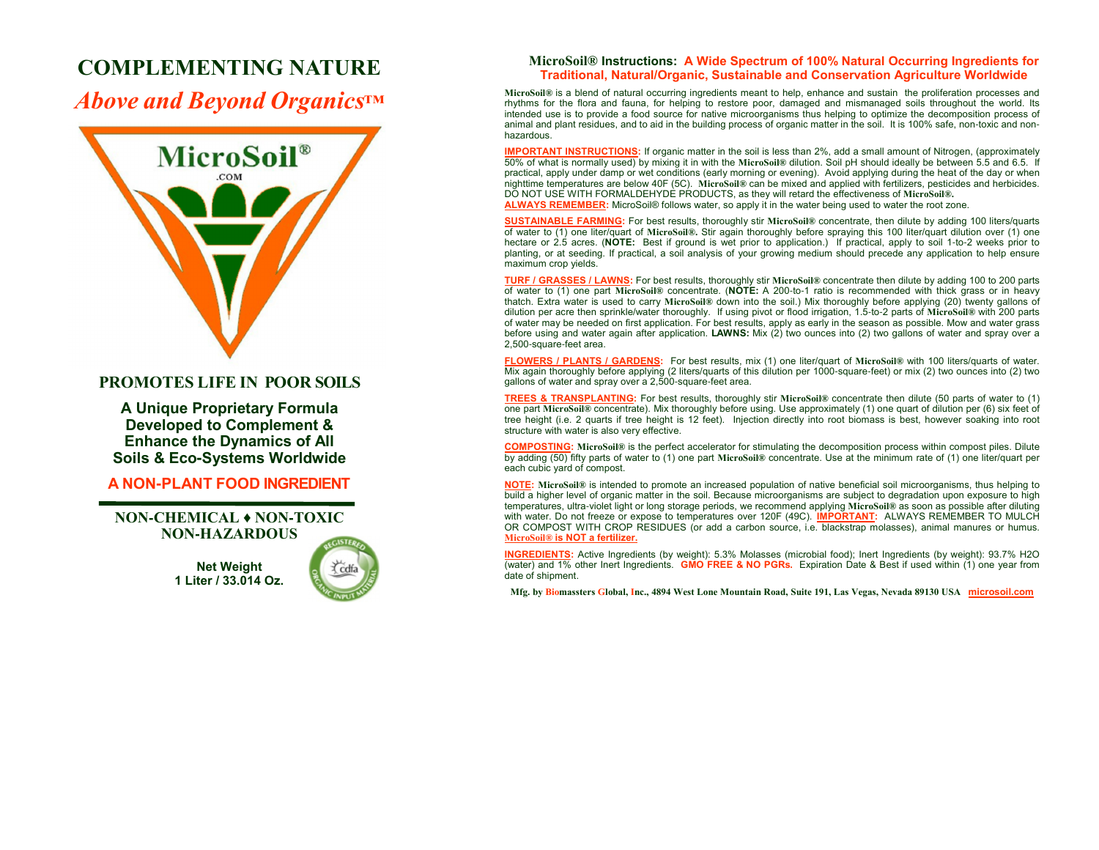## **COMPLEMENTING NATURE**

*Above and Beyond Organics™*



## **PROMOTES LIFE IN POOR SOILS**

**A Unique Proprietary Formula Developed to Complement & Enhance the Dynamics of AllSoils & Eco-Systems Worldwide**

**A NON-PLANT FOOD INGREDIENT**

**NON-CHEMICAL ♦ NON-TOXICNON-HAZARDOUS**

> **Net Weight1 Liter / 33.014 Oz.**



### **MicroSoil® Instructions: A Wide Spectrum of 100% Natural Occurring Ingredients for Traditional, Natural/Organic, Sustainable and Conservation Agriculture Worldwide**

 **MicroSoil®** is a blend of natural occurring ingredients meant to help, enhance and sustain the proliferation processes and rhythms for the flora and fauna, for helping to restore poor, damaged and mismanaged soils throughout the world. Its intended use is to provide a food source for native microorganisms thus helping to optimize the decomposition process of animal and plant residues, and to aid in the building process of organic matter in the soil. It is 100% safe, non-toxic and nonhazardous.

**IMPORTANT INSTRUCTIONS:** If organic matter in the soil is less than 2%, add a small amount of Nitrogen, (approximately 50% of what is normally used) by mixing it in with the **MicroSoil®** dilution. Soil pH should ideally be between 5.5 and 6.5. If practical, apply under damp or wet conditions (early morning or evening). Avoid applying during the heat of the day or when nighttime temperatures are below 40F (5C). **MicroSoil®** can be mixed and applied with fertilizers, pesticides and herbicides. DO NOT USE WITH FORMALDEHYDE PRODUCTS, as they will retard the effectiveness of **MicroSoil®.ALWAYS REMEMBER:** MicroSoil® follows water, so apply it in the water being used to water the root zone.

**SUSTAINABLE FARMING:** For best results, thoroughly stir **MicroSoil®** concentrate, then dilute by adding 100 liters/quarts of water to (1) one liter/quart of **MicroSoil®.** Stir again thoroughly before spraying this 100 liter/quart dilution over (1) one hectare or 2.5 acres. (**NOTE:** Best if ground is wet prior to application.) If practical, apply to soil 1-to-2 weeks prior to planting, or at seeding. If practical, a soil analysis of your growing medium should precede any application to help ensure maximum crop yields.

**TURF / GRASSES / LAWNS:** For best results, thoroughly stir **MicroSoil®** concentrate then dilute by adding 100 to 200 parts of water to (1) one part **MicroSoil®** concentrate. (**NOTE:** A 200-to-1 ratio is recommended with thick grass or in heavy thatch. Extra water is used to carry **MicroSoil®** down into the soil.) Mix thoroughly before applying (20) twenty gallons of dilution per acre then sprinkle/water thoroughly. If using pivot or flood irrigation, 1.5-to-2 parts of **MicroSoil®** with 200 parts of water may be needed on first application. For best results, apply as early in the season as possible. Mow and water grass<br>before using and water again after application. **LAWNS:** Mix (2) two ounces into (2) two gallons 2,500-square-feet area.

**FLOWERS / PLANTS / GARDENS:** For best results, mix (1) one liter/quart of **MicroSoil®** with 100 liters/quarts of water. Mix again thoroughly before applying (2 liters/quarts of this dilution per 1000-square-feet) or mix (2) two ounces into (2) two gallons of water and spray over a 2,500-square-feet area.

**TREES & TRANSPLANTING:** For best results, thoroughly stir **MicroSoil®** concentrate then dilute (50 parts of water to (1) one part **MicroSoil®** concentrate). Mix thoroughly before using. Use approximately (1) one quart of dilution per (6) six feet of tree height (i.e. 2 quarts if tree height is 12 feet). Injection directly into root biomass is best, however soaking into root structure with water is also very effective.

**COMPOSTING: MicroSoil®** is the perfect accelerator for stimulating the decomposition process within compost piles. Dilute by adding (50) fifty parts of water to (1) one part **MicroSoil®** concentrate. Use at the minimum rate of (1) one liter/quart per each cubic yard of compost.

**NOTE: MicroSoil®** is intended to promote an increased population of native beneficial soil microorganisms, thus helping to build a higher level of organic matter in the soil. Because microorganisms are subject to degradation upon exposure to high temperatures, ultra-violet light or long storage periods, we recommend applying **MicroSoil®** as soon as possible after diluting with water. Do not freeze or expose to temperatures over 120F (49C). **IMPORTANT:** ALWAYS REMEMBER TO MULCH OR COMPOST WITH CROP RESIDUES (or add a carbon source, i.e. blackstrap molasses), animal manures or humus. **MicroSoil® is NOT a fertilizer.**

**INGREDIENTS:** Active Ingredients (by weight): 5.3% Molasses (microbial food); Inert Ingredients (by weight): 93.7% H2O (water) and 1% other Inert Ingredients. **GMO FREE & NO PGRs.** Expiration Date & Best if used within (1) one year from date of shipment.

**Mfg. by Biomassters Global, Inc., 4894 West Lone Mountain Road, Suite 191, Las Vegas, Nevada 89130 USA microsoil.com**